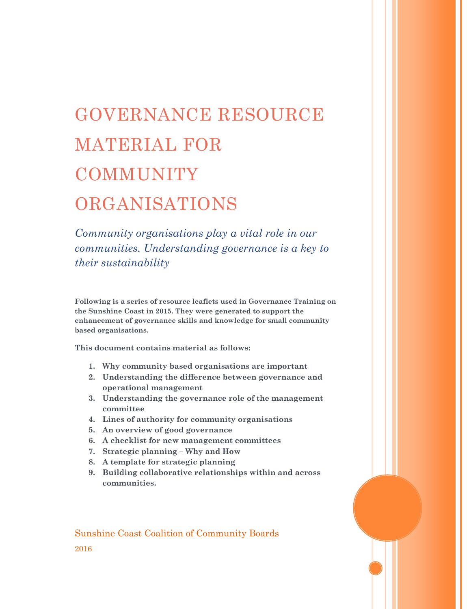# GOVERNANCE RESOURCE MATERIAL FOR **COMMUNITY** ORGANISATIONS

*Community organisations play a vital role in our communities. Understanding governance is a key to their sustainability*

**Following is a series of resource leaflets used in Governance Training on the Sunshine Coast in 2015. They were generated to support the enhancement of governance skills and knowledge for small community based organisations.**

**This document contains material as follows:**

- **1. Why community based organisations are important**
- **2. Understanding the difference between governance and operational management**
- **3. Understanding the governance role of the management committee**
- **4. Lines of authority for community organisations**
- **5. An overview of good governance**
- **6. A checklist for new management committees**
- **7. Strategic planning – Why and How**
- **8. A template for strategic planning**
- **9. Building collaborative relationships within and across communities.**

Sunshine Coast Coalition of Community Boards 2016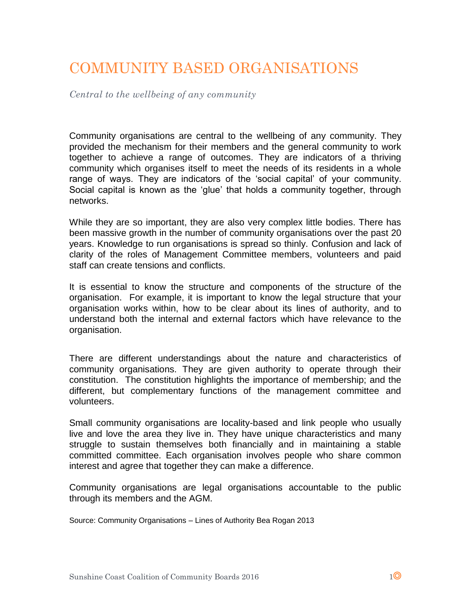### COMMUNITY BASED ORGANISATIONS

*Central to the wellbeing of any community* 

Community organisations are central to the wellbeing of any community. They provided the mechanism for their members and the general community to work together to achieve a range of outcomes. They are indicators of a thriving community which organises itself to meet the needs of its residents in a whole range of ways. They are indicators of the 'social capital' of your community. Social capital is known as the 'glue' that holds a community together, through networks.

While they are so important, they are also very complex little bodies. There has been massive growth in the number of community organisations over the past 20 years. Knowledge to run organisations is spread so thinly. Confusion and lack of clarity of the roles of Management Committee members, volunteers and paid staff can create tensions and conflicts.

It is essential to know the structure and components of the structure of the organisation. For example, it is important to know the legal structure that your organisation works within, how to be clear about its lines of authority, and to understand both the internal and external factors which have relevance to the organisation.

There are different understandings about the nature and characteristics of community organisations. They are given authority to operate through their constitution. The constitution highlights the importance of membership; and the different, but complementary functions of the management committee and volunteers.

Small community organisations are locality-based and link people who usually live and love the area they live in. They have unique characteristics and many struggle to sustain themselves both financially and in maintaining a stable committed committee. Each organisation involves people who share common interest and agree that together they can make a difference.

Community organisations are legal organisations accountable to the public through its members and the AGM.

Source: Community Organisations – Lines of Authority Bea Rogan 2013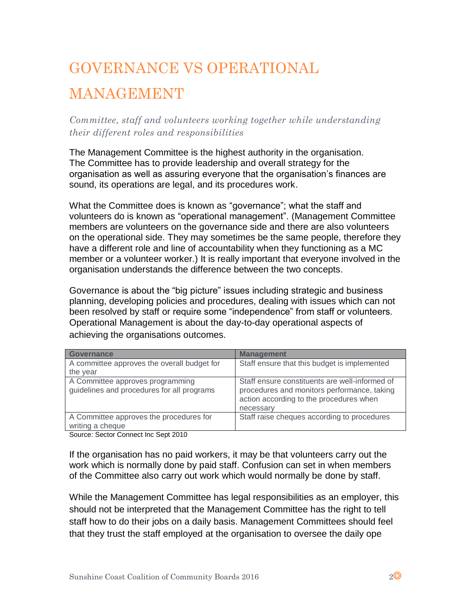## GOVERNANCE VS OPERATIONAL MANAGEMENT

*Committee, staff and volunteers working together while understanding their different roles and responsibilities*

The Management Committee is the highest authority in the organisation. The Committee has to provide leadership and overall strategy for the organisation as well as assuring everyone that the organisation's finances are sound, its operations are legal, and its procedures work.

What the Committee does is known as "governance"; what the staff and volunteers do is known as "operational management". (Management Committee members are volunteers on the governance side and there are also volunteers on the operational side. They may sometimes be the same people, therefore they have a different role and line of accountability when they functioning as a MC member or a volunteer worker.) It is really important that everyone involved in the organisation understands the difference between the two concepts.

Governance is about the "big picture" issues including strategic and business planning, developing policies and procedures, dealing with issues which can not been resolved by staff or require some "independence" from staff or volunteers. Operational Management is about the day-to-day operational aspects of achieving the organisations outcomes.

| <b>Governance</b>                                                              | <b>Management</b>                                                                                                                                     |
|--------------------------------------------------------------------------------|-------------------------------------------------------------------------------------------------------------------------------------------------------|
| A committee approves the overall budget for                                    | Staff ensure that this budget is implemented                                                                                                          |
| the year                                                                       |                                                                                                                                                       |
| A Committee approves programming<br>guidelines and procedures for all programs | Staff ensure constituents are well-informed of<br>procedures and monitors performance, taking<br>action according to the procedures when<br>necessary |
| A Committee approves the procedures for<br>writing a cheque                    | Staff raise cheques according to procedures                                                                                                           |

Source: Sector Connect Inc Sept 2010

If the organisation has no paid workers, it may be that volunteers carry out the work which is normally done by paid staff. Confusion can set in when members of the Committee also carry out work which would normally be done by staff.

While the Management Committee has legal responsibilities as an employer, this should not be interpreted that the Management Committee has the right to tell staff how to do their jobs on a daily basis. Management Committees should feel that they trust the staff employed at the organisation to oversee the daily ope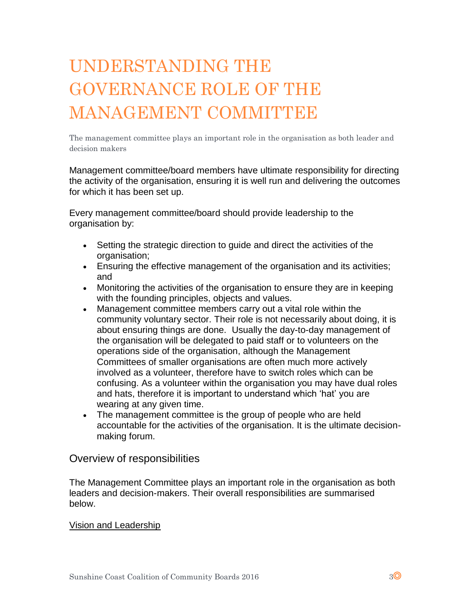## UNDERSTANDING THE GOVERNANCE ROLE OF THE MANAGEMENT COMMITTEE

The management committee plays an important role in the organisation as both leader and decision makers

Management committee/board members have ultimate responsibility for directing the activity of the organisation, ensuring it is well run and delivering the outcomes for which it has been set up.

Every management committee/board should provide leadership to the organisation by:

- Setting the strategic direction to guide and direct the activities of the organisation;
- Ensuring the effective management of the organisation and its activities; and
- Monitoring the activities of the organisation to ensure they are in keeping with the founding principles, objects and values.
- Management committee members carry out a vital role within the community voluntary sector. Their role is not necessarily about doing, it is about ensuring things are done. Usually the day-to-day management of the organisation will be delegated to paid staff or to volunteers on the operations side of the organisation, although the Management Committees of smaller organisations are often much more actively involved as a volunteer, therefore have to switch roles which can be confusing. As a volunteer within the organisation you may have dual roles and hats, therefore it is important to understand which 'hat' you are wearing at any given time.
- The management committee is the group of people who are held accountable for the activities of the organisation. It is the ultimate decisionmaking forum.

#### Overview of responsibilities

The Management Committee plays an important role in the organisation as both leaders and decision-makers. Their overall responsibilities are summarised below.

#### [Vision and Leadership](http://www.diycommitteeguide.org/code/principle/leadership)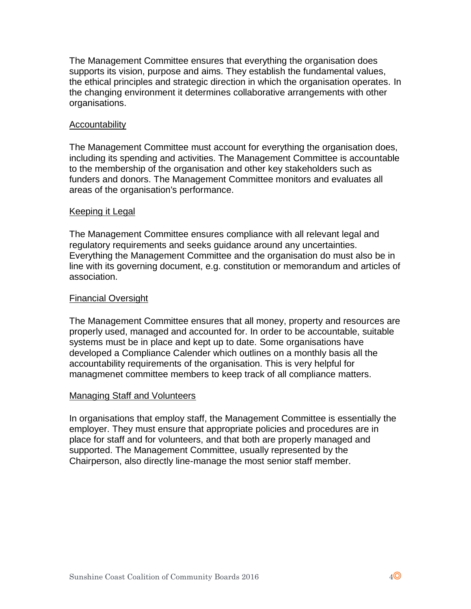The Management Committee ensures that everything the organisation does supports its vision, purpose and aims. They establish the fundamental values, the ethical principles and strategic direction in which the organisation operates. In the changing environment it determines collaborative arrangements with other organisations.

#### [Accountability](http://www.diycommitteeguide.org/code/principle/openness-and-accountability)

The Management Committee must account for everything the organisation does, including its spending and activities. The Management Committee is accountable to the membership of the organisation and other key stakeholders such as funders and donors. The Management Committee monitors and evaluates all areas of the organisation's performance.

#### [Keeping it Legal](http://www.diycommitteeguide.org/code/principle/compliance)

The Management Committee ensures compliance with all relevant legal and regulatory requirements and seeks guidance around any uncertainties. Everything the Management Committee and the organisation do must also be in line with its governing document, e.g. constitution or memorandum and articles of association.

#### [Financial Oversight](http://www.diycommitteeguide.org/code/principle/financial-oversight)

The Management Committee ensures that all money, property and resources are properly used, managed and accounted for. In order to be accountable, suitable systems must be in place and kept up to date. Some organisations have developed a Compliance Calender which outlines on a monthly basis all the accountability requirements of the organisation. This is very helpful for managmenet committee members to keep track of all compliance matters.

#### [Managing Staff and Volunteers](http://www.diycommitteeguide.org/code/principle/managing-staff-and-volunteers)

In organisations that employ staff, the Management Committee is essentially the employer. They must ensure that appropriate policies and procedures are in place for staff and for volunteers, and that both are properly managed and supported. The Management Committee, usually represented by the Chairperson, also directly line-manage the most senior staff member.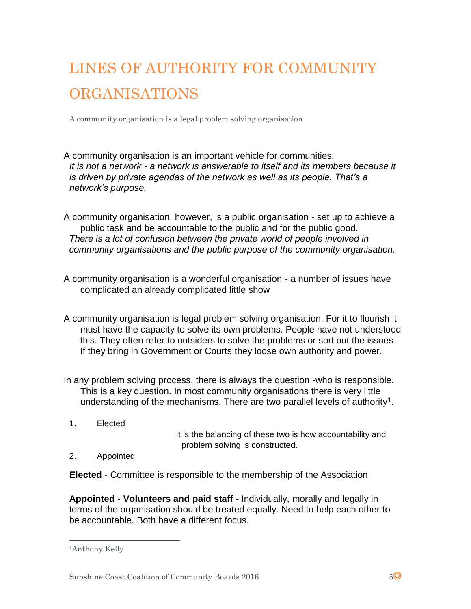## LINES OF AUTHORITY FOR COMMUNITY **ORGANISATIONS**

A community organisation is a legal problem solving organisation

- A community organisation is an important vehicle for communities. *It is not a network - a network is answerable to itself and its members because it is driven by private agendas of the network as well as its people. That's a network's purpose.*
- A community organisation, however, is a public organisation set up to achieve a public task and be accountable to the public and for the public good. *There is a lot of confusion between the private world of people involved in community organisations and the public purpose of the community organisation.*
- A community organisation is a wonderful organisation a number of issues have complicated an already complicated little show
- A community organisation is legal problem solving organisation. For it to flourish it must have the capacity to solve its own problems. People have not understood this. They often refer to outsiders to solve the problems or sort out the issues. If they bring in Government or Courts they loose own authority and power.
- In any problem solving process, there is always the question -who is responsible. This is a key question. In most community organisations there is very little understanding of the mechanisms. There are two parallel levels of authority<sup>1</sup>.
	- 1. Elected

It is the balancing of these two is how accountability and problem solving is constructed.

2. Appointed

**Elected** - Committee is responsible to the membership of the Association

**Appointed - Volunteers and paid staff -** Individually, morally and legally in terms of the organisation should be treated equally. Need to help each other to be accountable. Both have a different focus.

 $\overline{a}$ 

<sup>1</sup>Anthony Kelly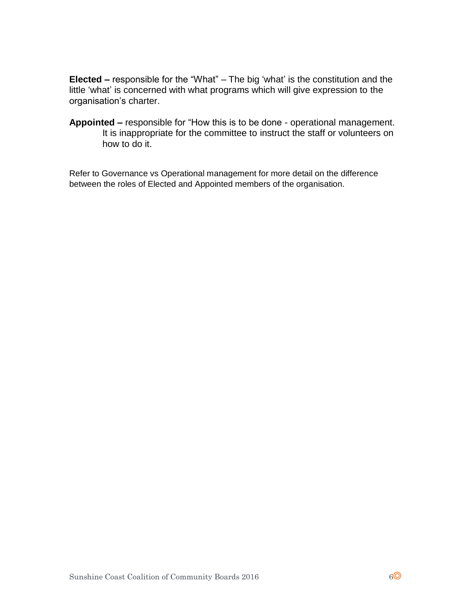**Elected –** responsible for the "What" – The big 'what' is the constitution and the little 'what' is concerned with what programs which will give expression to the organisation's charter.

**Appointed –** responsible for "How this is to be done - operational management. It is inappropriate for the committee to instruct the staff or volunteers on how to do it.

Refer to Governance vs Operational management for more detail on the difference between the roles of Elected and Appointed members of the organisation.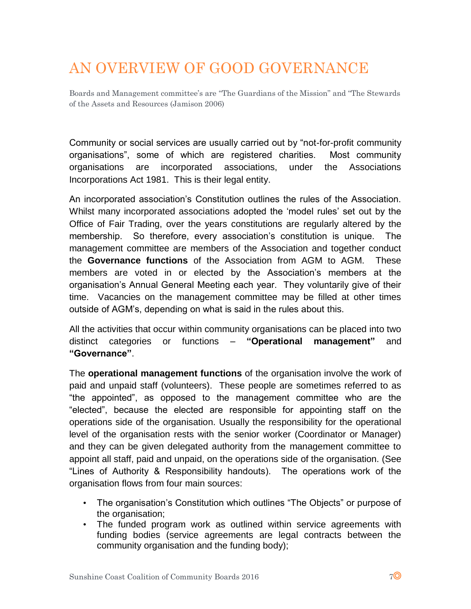### AN OVERVIEW OF GOOD GOVERNANCE

Boards and Management committee's are "The Guardians of the Mission" and "The Stewards of the Assets and Resources (Jamison 2006)

Community or social services are usually carried out by "not-for-profit community organisations", some of which are registered charities. Most community organisations are incorporated associations, under the Associations Incorporations Act 1981. This is their legal entity.

An incorporated association's Constitution outlines the rules of the Association. Whilst many incorporated associations adopted the 'model rules' set out by the Office of Fair Trading, over the years constitutions are regularly altered by the membership. So therefore, every association's constitution is unique. The management committee are members of the Association and together conduct the **Governance functions** of the Association from AGM to AGM. These members are voted in or elected by the Association's members at the organisation's Annual General Meeting each year. They voluntarily give of their time. Vacancies on the management committee may be filled at other times outside of AGM's, depending on what is said in the rules about this.

All the activities that occur within community organisations can be placed into two distinct categories or functions – **"Operational management"** and **"Governance"**.

The **operational management functions** of the organisation involve the work of paid and unpaid staff (volunteers). These people are sometimes referred to as "the appointed", as opposed to the management committee who are the "elected", because the elected are responsible for appointing staff on the operations side of the organisation. Usually the responsibility for the operational level of the organisation rests with the senior worker (Coordinator or Manager) and they can be given delegated authority from the management committee to appoint all staff, paid and unpaid, on the operations side of the organisation. (See "Lines of Authority & Responsibility handouts). The operations work of the organisation flows from four main sources:

- The organisation's Constitution which outlines "The Objects" or purpose of the organisation;
- The funded program work as outlined within service agreements with funding bodies (service agreements are legal contracts between the community organisation and the funding body);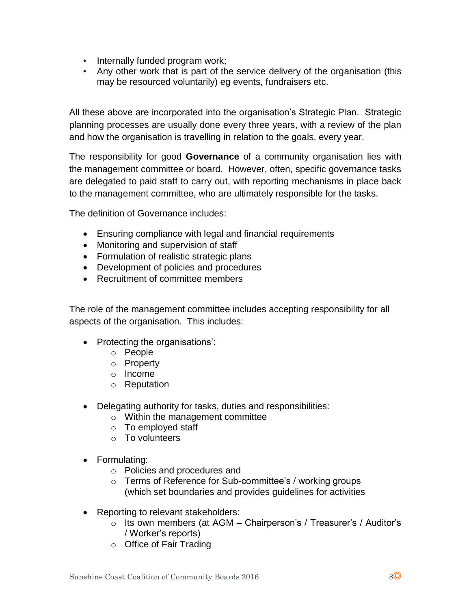- Internally funded program work;
- Any other work that is part of the service delivery of the organisation (this may be resourced voluntarily) eg events, fundraisers etc.

All these above are incorporated into the organisation's Strategic Plan. Strategic planning processes are usually done every three years, with a review of the plan and how the organisation is travelling in relation to the goals, every year.

The responsibility for good **Governance** of a community organisation lies with the management committee or board. However, often, specific governance tasks are delegated to paid staff to carry out, with reporting mechanisms in place back to the management committee, who are ultimately responsible for the tasks.

The definition of Governance includes:

- Ensuring compliance with legal and financial requirements
- Monitoring and supervision of staff
- Formulation of realistic strategic plans
- Development of policies and procedures
- Recruitment of committee members

The role of the management committee includes accepting responsibility for all aspects of the organisation. This includes:

- Protecting the organisations':
	- o People
	- o Property
	- o Income
	- o Reputation
- Delegating authority for tasks, duties and responsibilities:
	- o Within the management committee
	- o To employed staff
	- o To volunteers
- Formulating:
	- o Policies and procedures and
	- o Terms of Reference for Sub-committee's / working groups (which set boundaries and provides guidelines for activities
- Reporting to relevant stakeholders:
	- o Its own members (at AGM Chairperson's / Treasurer's / Auditor's / Worker's reports)
	- o Office of Fair Trading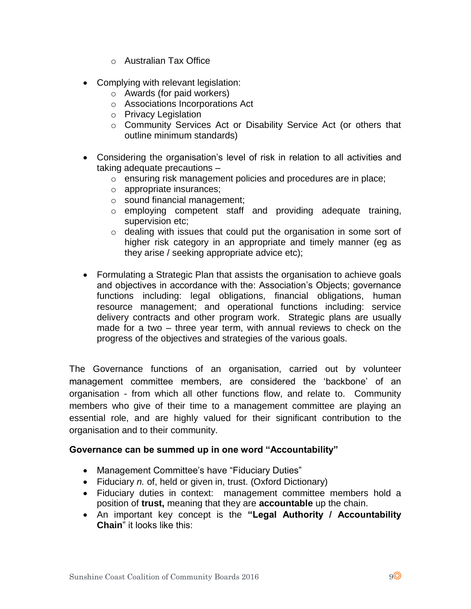- o Australian Tax Office
- Complying with relevant legislation:
	- o Awards (for paid workers)
	- o Associations Incorporations Act
	- o Privacy Legislation
	- o Community Services Act or Disability Service Act (or others that outline minimum standards)
- Considering the organisation's level of risk in relation to all activities and taking adequate precautions –
	- o ensuring risk management policies and procedures are in place;
	- o appropriate insurances;
	- o sound financial management;
	- o employing competent staff and providing adequate training, supervision etc;
	- o dealing with issues that could put the organisation in some sort of higher risk category in an appropriate and timely manner (eg as they arise / seeking appropriate advice etc);
- Formulating a Strategic Plan that assists the organisation to achieve goals and objectives in accordance with the: Association's Objects; governance functions including: legal obligations, financial obligations, human resource management; and operational functions including: service delivery contracts and other program work. Strategic plans are usually made for a two – three year term, with annual reviews to check on the progress of the objectives and strategies of the various goals.

The Governance functions of an organisation, carried out by volunteer management committee members, are considered the 'backbone' of an organisation - from which all other functions flow, and relate to. Community members who give of their time to a management committee are playing an essential role, and are highly valued for their significant contribution to the organisation and to their community.

#### **Governance can be summed up in one word "Accountability"**

- Management Committee's have "Fiduciary Duties"
- Fiduciary *n.* of, held or given in, trust. (Oxford Dictionary)
- Fiduciary duties in context: management committee members hold a position of **trust,** meaning that they are **accountable** up the chain.
- An important key concept is the **"Legal Authority / Accountability Chain**" it looks like this: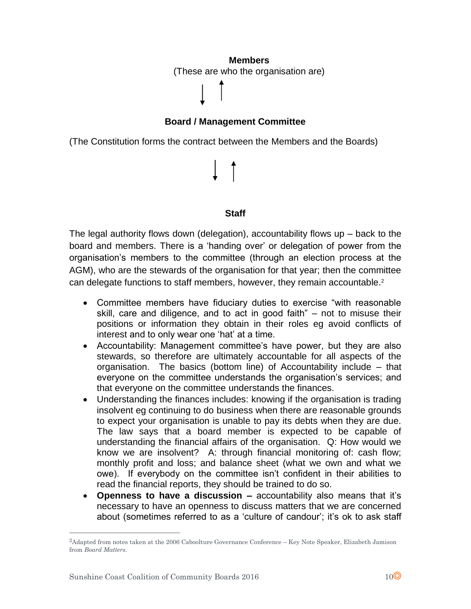# **Members** (These are who the organisation are)

#### **Board / Management Committee**

(The Constitution forms the contract between the Members and the Boards)

#### **Staff**

The legal authority flows down (delegation), accountability flows up – back to the board and members. There is a 'handing over' or delegation of power from the organisation's members to the committee (through an election process at the AGM), who are the stewards of the organisation for that year; then the committee can delegate functions to staff members, however, they remain accountable. 2

- Committee members have fiduciary duties to exercise "with reasonable skill, care and diligence, and to act in good faith" – not to misuse their positions or information they obtain in their roles eg avoid conflicts of interest and to only wear one 'hat' at a time.
- Accountability: Management committee's have power, but they are also stewards, so therefore are ultimately accountable for all aspects of the organisation. The basics (bottom line) of Accountability include – that everyone on the committee understands the organisation's services; and that everyone on the committee understands the finances.
- Understanding the finances includes: knowing if the organisation is trading insolvent eg continuing to do business when there are reasonable grounds to expect your organisation is unable to pay its debts when they are due. The law says that a board member is expected to be capable of understanding the financial affairs of the organisation. Q: How would we know we are insolvent? A: through financial monitoring of: cash flow; monthly profit and loss; and balance sheet (what we own and what we owe). If everybody on the committee isn't confident in their abilities to read the financial reports, they should be trained to do so.
- **Openness to have a discussion –** accountability also means that it's necessary to have an openness to discuss matters that we are concerned about (sometimes referred to as a 'culture of candour'; it's ok to ask staff

 $\overline{a}$ 

<sup>2</sup>Adapted from notes taken at the 2006 Caboolture Governance Conference – Key Note Speaker, Elizabeth Jamison from *Board Matters.*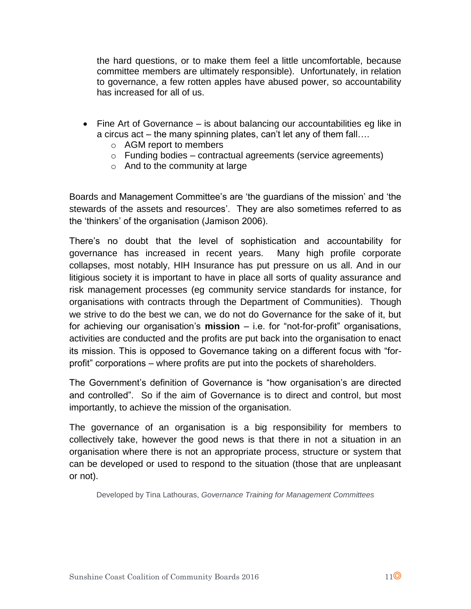the hard questions, or to make them feel a little uncomfortable, because committee members are ultimately responsible). Unfortunately, in relation to governance, a few rotten apples have abused power, so accountability has increased for all of us.

- Fine Art of Governance is about balancing our accountabilities eg like in a circus act – the many spinning plates, can't let any of them fall….
	- o AGM report to members
	- $\circ$  Funding bodies contractual agreements (service agreements)
	- o And to the community at large

Boards and Management Committee's are 'the guardians of the mission' and 'the stewards of the assets and resources'. They are also sometimes referred to as the 'thinkers' of the organisation (Jamison 2006).

There's no doubt that the level of sophistication and accountability for governance has increased in recent years. Many high profile corporate collapses, most notably, HIH Insurance has put pressure on us all. And in our litigious society it is important to have in place all sorts of quality assurance and risk management processes (eg community service standards for instance, for organisations with contracts through the Department of Communities). Though we strive to do the best we can, we do not do Governance for the sake of it, but for achieving our organisation's **mission** – i.e. for "not-for-profit" organisations, activities are conducted and the profits are put back into the organisation to enact its mission. This is opposed to Governance taking on a different focus with "forprofit" corporations – where profits are put into the pockets of shareholders.

The Government's definition of Governance is "how organisation's are directed and controlled". So if the aim of Governance is to direct and control, but most importantly, to achieve the mission of the organisation.

The governance of an organisation is a big responsibility for members to collectively take, however the good news is that there in not a situation in an organisation where there is not an appropriate process, structure or system that can be developed or used to respond to the situation (those that are unpleasant or not).

Developed by Tina Lathouras, *Governance Training for Management Committees*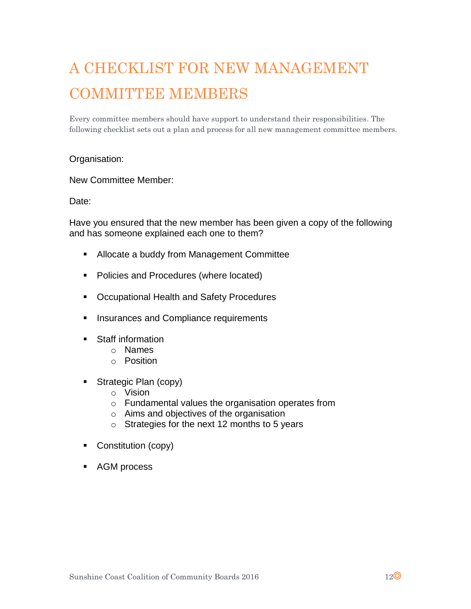## A CHECKLIST FOR NEW MANAGEMENT COMMITTEE MEMBERS

Every committee members should have support to understand their responsibilities. The following checklist sets out a plan and process for all new management committee members.

#### Organisation:

New Committee Member:

#### Date:

Have you ensured that the new member has been given a copy of the following and has someone explained each one to them?

- **Allocate a buddy from Management Committee**
- **Policies and Procedures (where located)**
- **Occupational Health and Safety Procedures**
- **Insurances and Compliance requirements**
- **Staff information** 
	- o Names
	- o Position
- Strategic Plan (copy)
	- o Vision
	- o Fundamental values the organisation operates from
	- o Aims and objectives of the organisation
	- o Strategies for the next 12 months to 5 years
- **Constitution (copy)**
- AGM process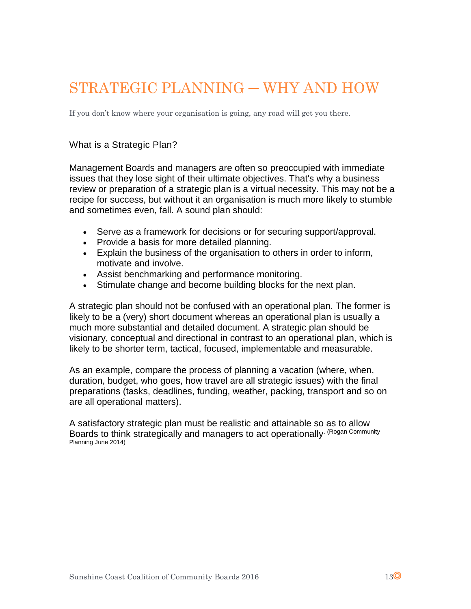### STRATEGIC PLANNING – WHY AND HOW

If you don't know where your organisation is going, any road will get you there.

#### What is a Strategic Plan?

Management Boards and managers are often so preoccupied with immediate issues that they lose sight of their ultimate objectives. That's why a business review or preparation of a strategic plan is a virtual necessity. This may not be a recipe for success, but without it an organisation is much more likely to stumble and sometimes even, fall. A sound plan should:

- Serve as a framework for decisions or for securing support/approval.
- Provide a basis for more detailed planning.
- Explain the business of the organisation to others in order to inform, motivate and involve.
- Assist benchmarking and performance monitoring.
- Stimulate change and become building blocks for the next plan.

A strategic plan should not be confused with an operational plan. The former is likely to be a (very) short document whereas an operational plan is usually a much more substantial and detailed document. A strategic plan should be visionary, conceptual and directional in contrast to an operational plan, which is likely to be shorter term, tactical, focused, implementable and measurable.

As an example, compare the process of planning a vacation (where, when, duration, budget, who goes, how travel are all strategic issues) with the final preparations (tasks, deadlines, funding, weather, packing, transport and so on are all operational matters).

A satisfactory strategic plan must be realistic and attainable so as to allow Boards to think strategically and managers to act operationally (Rogan Community Planning June 2014)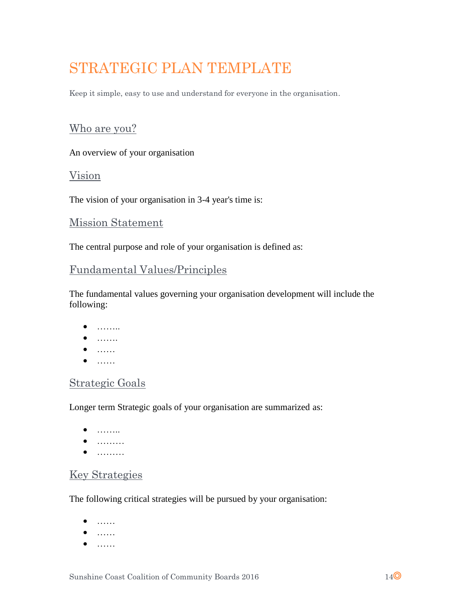### STRATEGIC PLAN TEMPLATE

Keep it simple, easy to use and understand for everyone in the organisation.

#### Who are you?

An overview of your organisation

#### Vision

The vision of your organisation in 3-4 year's time is:

#### Mission Statement

The central purpose and role of your organisation is defined as:

#### Fundamental Values/Principles

The fundamental values governing your organisation development will include the following:

- ……..
- $\bullet$  .......
- $\bullet$  ......
- $\bullet$  .....

#### Strategic Goals

Longer term Strategic goals of your organisation are summarized as:

- $\bullet$  ........
- $\bullet$  .........
- ………

#### Key Strategies

The following critical strategies will be pursued by your organisation:

- $\bullet$  .....
- $\bullet$  ......
- $\bullet$  ......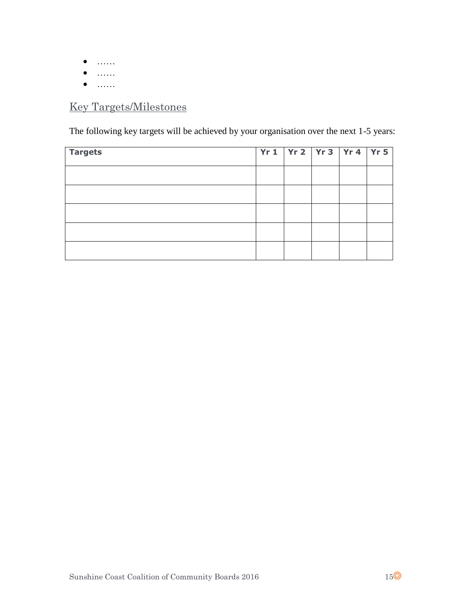- $\bullet$  ………
- $\bullet$  ......
- $\bullet$  ......

### Key Targets/Milestones

The following key targets will be achieved by your organisation over the next 1-5 years:

| <b>Targets</b> | $Yr1$   $Yr2$   $Yr3$   $Yr4$   $Yr5$ |  |  |
|----------------|---------------------------------------|--|--|
|                |                                       |  |  |
|                |                                       |  |  |
|                |                                       |  |  |
|                |                                       |  |  |
|                |                                       |  |  |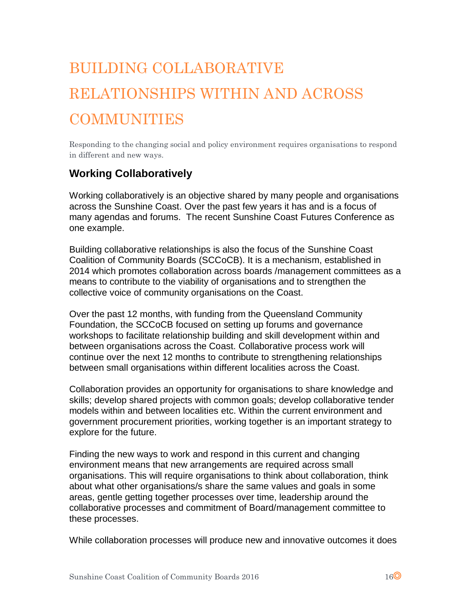## BUILDING COLLABORATIVE RELATIONSHIPS WITHIN AND ACROSS **COMMUNITIES**

Responding to the changing social and policy environment requires organisations to respond in different and new ways.

#### **Working Collaboratively**

Working collaboratively is an objective shared by many people and organisations across the Sunshine Coast. Over the past few years it has and is a focus of many agendas and forums. The recent Sunshine Coast Futures Conference as one example.

Building collaborative relationships is also the focus of the Sunshine Coast Coalition of Community Boards (SCCoCB). It is a mechanism, established in 2014 which promotes collaboration across boards /management committees as a means to contribute to the viability of organisations and to strengthen the collective voice of community organisations on the Coast.

Over the past 12 months, with funding from the Queensland Community Foundation, the SCCoCB focused on setting up forums and governance workshops to facilitate relationship building and skill development within and between organisations across the Coast. Collaborative process work will continue over the next 12 months to contribute to strengthening relationships between small organisations within different localities across the Coast.

Collaboration provides an opportunity for organisations to share knowledge and skills; develop shared projects with common goals; develop collaborative tender models within and between localities etc. Within the current environment and government procurement priorities, working together is an important strategy to explore for the future.

Finding the new ways to work and respond in this current and changing environment means that new arrangements are required across small organisations. This will require organisations to think about collaboration, think about what other organisations/s share the same values and goals in some areas, gentle getting together processes over time, leadership around the collaborative processes and commitment of Board/management committee to these processes.

While collaboration processes will produce new and innovative outcomes it does